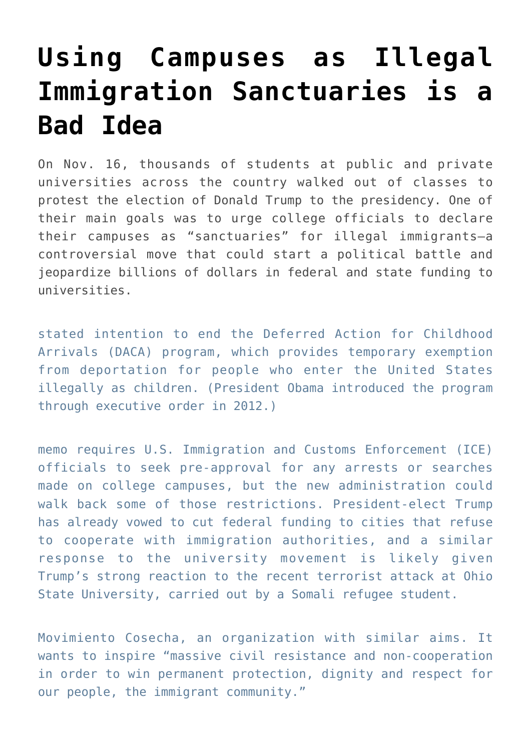## **[Using Campuses as Illegal](https://intellectualtakeout.org/2016/12/using-campuses-as-illegal-immigration-sanctuaries-is-a-bad-idea/) [Immigration Sanctuaries is a](https://intellectualtakeout.org/2016/12/using-campuses-as-illegal-immigration-sanctuaries-is-a-bad-idea/) [Bad Idea](https://intellectualtakeout.org/2016/12/using-campuses-as-illegal-immigration-sanctuaries-is-a-bad-idea/)**

On Nov. 16, thousands of students at public and private universities across the country walked out of classes to protest the election of Donald Trump to the presidency. One of their main goals was to urge college officials to declare their campuses as "sanctuaries" for illegal immigrants—a controversial move that could start a political battle and jeopardize billions of dollars in federal and state funding to universities.

stated intention to end the Deferred Action for Childhood Arrivals (DACA) program, which provides temporary exemption from deportation for people who enter the United States illegally as children. (President Obama introduced the program through executive order in 2012.)

memo requires U.S. Immigration and Customs Enforcement (ICE) officials to seek pre-approval for any arrests or searches made on college campuses, but the new administration could walk back some of those restrictions. President-elect Trump has [already vowed](http://money.cnn.com/2016/11/19/news/economy/sanctuary-cities-trump-funding/index.html) to cut federal funding to cities that refuse to cooperate with immigration authorities, and a similar response to the university movement is likely given Trump's [strong reaction](http://www.cnn.com/2016/12/01/politics/donald-trump-thank-you-tour/index.html) to the recent terrorist attack at Ohio State University, carried out by a Somali refugee student.

Movimiento Cosecha, an organization with similar aims. It wants to inspire "massive civil resistance and non-cooperation in order to win permanent protection, dignity and respect for our people, the immigrant community."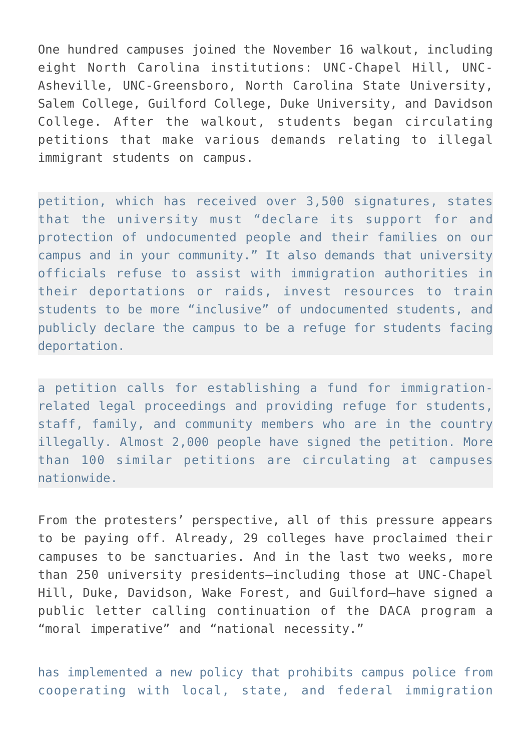One hundred campuses joined the November 16 walkout, including eight North Carolina institutions: UNC-Chapel Hill, UNC-Asheville, UNC-Greensboro, North Carolina State University, Salem College, Guilford College, Duke University, and Davidson College. After the walkout, students began circulating petitions that make various demands relating to illegal immigrant students on campus.

petition, which has received over 3,500 signatures, states that the university must "declare its support for and protection of undocumented people and their families on our campus and in your community." It also demands that university officials refuse to assist with immigration authorities in their deportations or raids, invest resources to train students to be more "inclusive" of undocumented students, and publicly declare the campus to be a refuge for students facing deportation.

a petition calls for establishing a fund for immigrationrelated legal proceedings and providing refuge for students, staff, family, and community members who are in the country illegally. Almost 2,000 people have signed the petition. More than 100 [similar petitions](https://www.google.com/maps/d/u/0/viewer?ll=34.88448127208027%2525252C-80.092249259619&hl=en&z=8&authuser=0&mid=1LcIME474-lYWbTf_xQChIhSSN30) are circulating at campuses nationwide.

From the protesters' perspective, all of this pressure appears to be paying off. Already, 29 colleges have proclaimed their campuses to be sanctuaries. And in the last two weeks, more than 250 university presidents—including those at UNC-Chapel Hill, Duke, Davidson, Wake Forest, and Guilford—have signed a public letter calling continuation of the DACA program a "moral imperative" and "national necessity."

has implemented a new policy that prohibits campus police from cooperating with local, state, and federal immigration